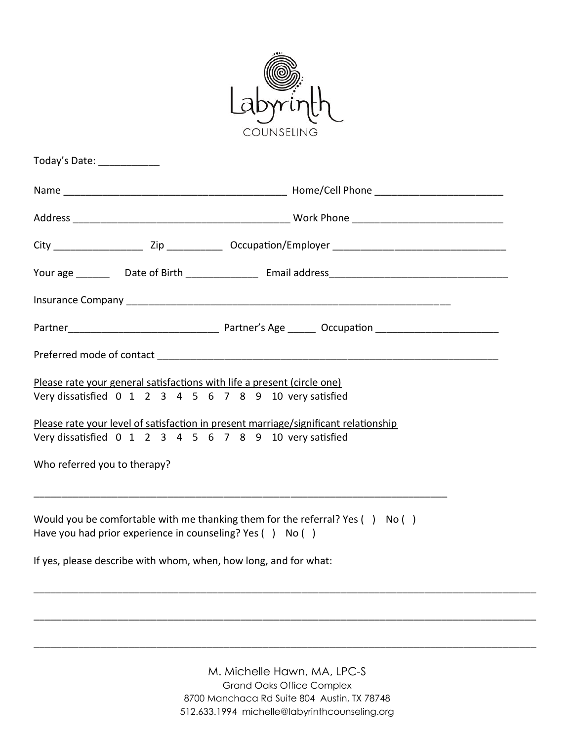

| Today's Date: ____________                                                                                                                                                                                                                                                                                           |  |  |
|----------------------------------------------------------------------------------------------------------------------------------------------------------------------------------------------------------------------------------------------------------------------------------------------------------------------|--|--|
|                                                                                                                                                                                                                                                                                                                      |  |  |
|                                                                                                                                                                                                                                                                                                                      |  |  |
|                                                                                                                                                                                                                                                                                                                      |  |  |
|                                                                                                                                                                                                                                                                                                                      |  |  |
|                                                                                                                                                                                                                                                                                                                      |  |  |
|                                                                                                                                                                                                                                                                                                                      |  |  |
|                                                                                                                                                                                                                                                                                                                      |  |  |
| Please rate your general satisfactions with life a present (circle one)<br>Very dissatisfied 0 1 2 3 4 5 6 7 8 9 10 very satisfied<br>Please rate your level of satisfaction in present marriage/significant relationship<br>Very dissatisfied 0 1 2 3 4 5 6 7 8 9 10 very satisfied<br>Who referred you to therapy? |  |  |
| Would you be comfortable with me thanking them for the referral? Yes $( )$ No $( )$<br>Have you had prior experience in counseling? Yes () No ()<br>If yes, please describe with whom, when, how long, and for what:                                                                                                 |  |  |
|                                                                                                                                                                                                                                                                                                                      |  |  |
|                                                                                                                                                                                                                                                                                                                      |  |  |

M. Michelle Hawn, MA, LPC-S Grand Oaks Office Complex 8700 Manchaca Rd Suite 804 Austin, TX 78748 512.633.1994 michelle@labyrinthcounseling.org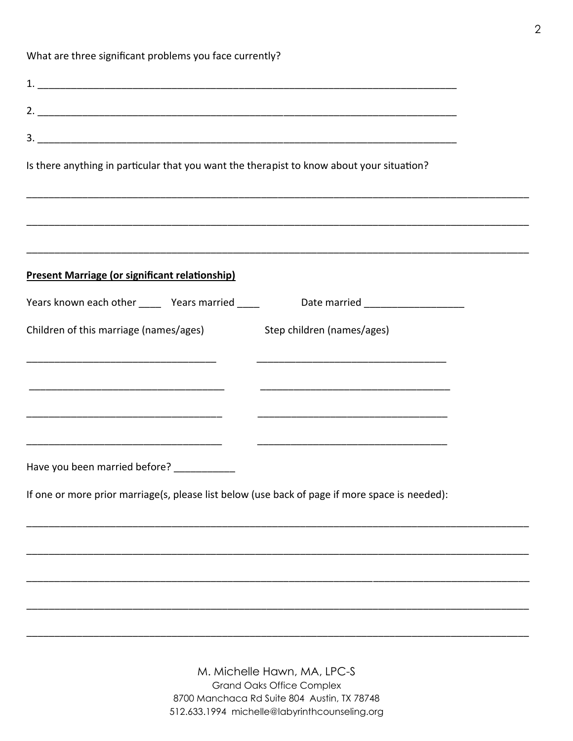What are three significant problems you face currently?

| Is there anything in particular that you want the therapist to know about your situation?      |  |
|------------------------------------------------------------------------------------------------|--|
|                                                                                                |  |
|                                                                                                |  |
| Present Marriage (or significant relationship)                                                 |  |
| Years known each other _______ Years married ______ Date married _______________               |  |
| Children of this marriage (names/ages) Step children (names/ages)                              |  |
|                                                                                                |  |
|                                                                                                |  |
|                                                                                                |  |
|                                                                                                |  |
| Have you been married before? ____________                                                     |  |
| If one or more prior marriage(s, please list below (use back of page if more space is needed): |  |
|                                                                                                |  |
|                                                                                                |  |
|                                                                                                |  |
|                                                                                                |  |
|                                                                                                |  |

M. Michelle Hawn, MA, LPC-S **Grand Oaks Office Complex** 8700 Manchaca Rd Suite 804 Austin, TX 78748 512.633.1994 michelle@labyrinthcounseling.org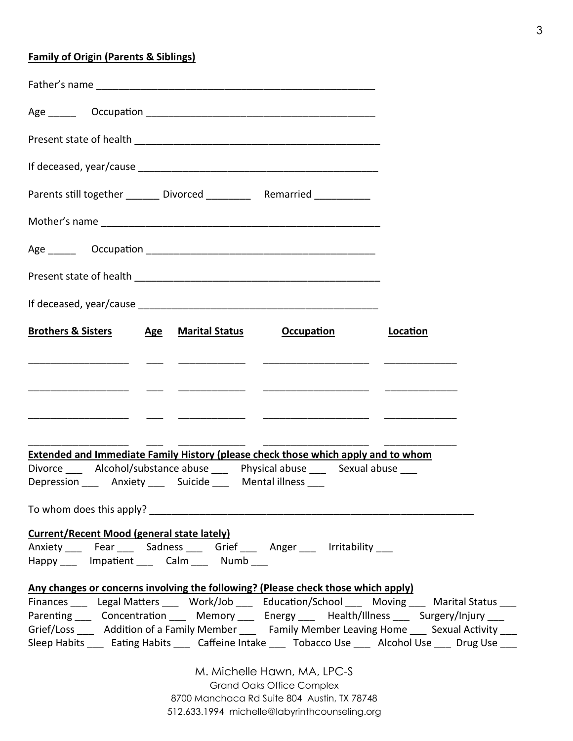## **Family of Origin (Parents & Siblings)**

| Parents still together ________ Divorced ___________ Remarried ___________                                                                                                                                                           |          |
|--------------------------------------------------------------------------------------------------------------------------------------------------------------------------------------------------------------------------------------|----------|
|                                                                                                                                                                                                                                      |          |
|                                                                                                                                                                                                                                      |          |
|                                                                                                                                                                                                                                      |          |
|                                                                                                                                                                                                                                      |          |
| <b>Brothers &amp; Sisters Age Marital Status Coccupation</b>                                                                                                                                                                         | Location |
| <u> 1980 - Jan Stein Stein Stein Stein Stein Stein Stein Stein Stein Stein Stein Stein Stein Stein Stein Stein Stein Stein Stein Stein Stein Stein Stein Stein Stein Stein Stein Stein Stein Stein Stein Stein Stein Stein Stein</u> |          |
|                                                                                                                                                                                                                                      |          |
|                                                                                                                                                                                                                                      |          |
|                                                                                                                                                                                                                                      |          |
| <b>Extended and Immediate Family History (please check those which apply and to whom</b>                                                                                                                                             |          |
| Divorce _____ Alcohol/substance abuse ____ Physical abuse ____ Sexual abuse ____<br>Depression _____ Anxiety ____ Suicide ____ Mental illness ____                                                                                   |          |
| To whom does this apply?                                                                                                                                                                                                             |          |
| <b>Current/Recent Mood (general state lately)</b>                                                                                                                                                                                    |          |
| Anxiety ___ Fear ___ Sadness ___ Grief ___ Anger ___ Irritability ___                                                                                                                                                                |          |
| Happy Impatient Calm Numb                                                                                                                                                                                                            |          |
| Any changes or concerns involving the following? (Please check those which apply)                                                                                                                                                    |          |
| Finances Legal Matters Work/Job Education/School Moving Marital Status                                                                                                                                                               |          |
| Parenting ____ Concentration ____ Memory ____ Energy ____ Health/Illness ____ Surgery/Injury ___                                                                                                                                     |          |
| Grief/Loss Addition of a Family Member ____ Family Member Leaving Home ___ Sexual Activity ___                                                                                                                                       |          |
| Sleep Habits ____ Eating Habits ____ Caffeine Intake ____ Tobacco Use ____ Alcohol Use ____ Drug Use ___                                                                                                                             |          |
| M. Michelle Hawn, MA, LPC-S                                                                                                                                                                                                          |          |
| <b>Grand Oaks Office Complex</b><br>8700 Manchaca Rd Suite 804 Austin, TX 78748                                                                                                                                                      |          |
|                                                                                                                                                                                                                                      |          |

512.633.1994 michelle@labyrinthcounseling.org